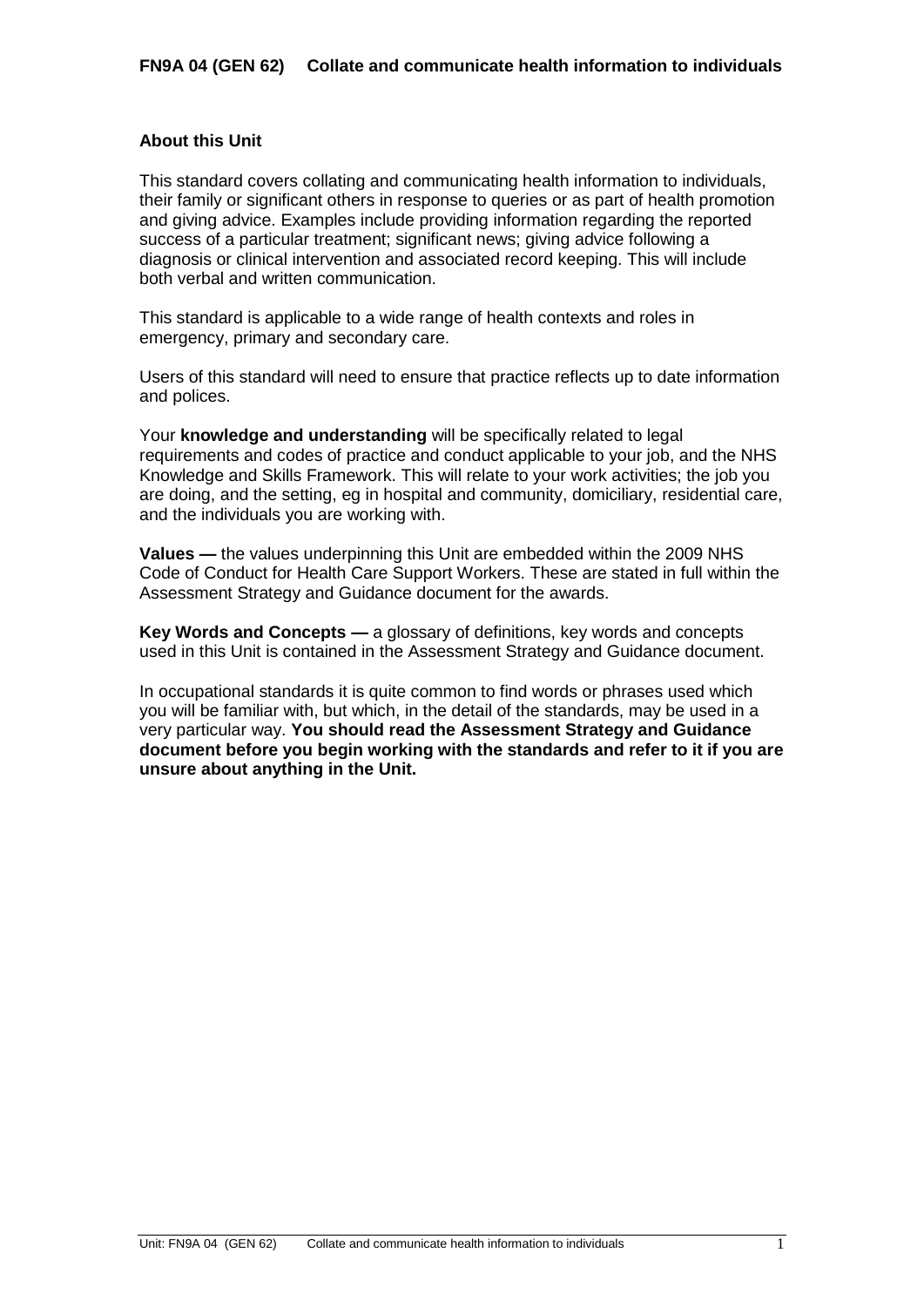## **About this Unit**

This standard covers collating and communicating health information to individuals, their family or significant others in response to queries or as part of health promotion and giving advice. Examples include providing information regarding the reported success of a particular treatment; significant news; giving advice following a diagnosis or clinical intervention and associated record keeping. This will include both verbal and written communication.

This standard is applicable to a wide range of health contexts and roles in emergency, primary and secondary care.

Users of this standard will need to ensure that practice reflects up to date information and polices.

Your **knowledge and understanding** will be specifically related to legal requirements and codes of practice and conduct applicable to your job, and the NHS Knowledge and Skills Framework. This will relate to your work activities; the job you are doing, and the setting, eg in hospital and community, domiciliary, residential care, and the individuals you are working with.

**Values —** the values underpinning this Unit are embedded within the 2009 NHS Code of Conduct for Health Care Support Workers. These are stated in full within the Assessment Strategy and Guidance document for the awards.

**Key Words and Concepts —** a glossary of definitions, key words and concepts used in this Unit is contained in the Assessment Strategy and Guidance document.

In occupational standards it is quite common to find words or phrases used which you will be familiar with, but which, in the detail of the standards, may be used in a very particular way. **You should read the Assessment Strategy and Guidance document before you begin working with the standards and refer to it if you are unsure about anything in the Unit.**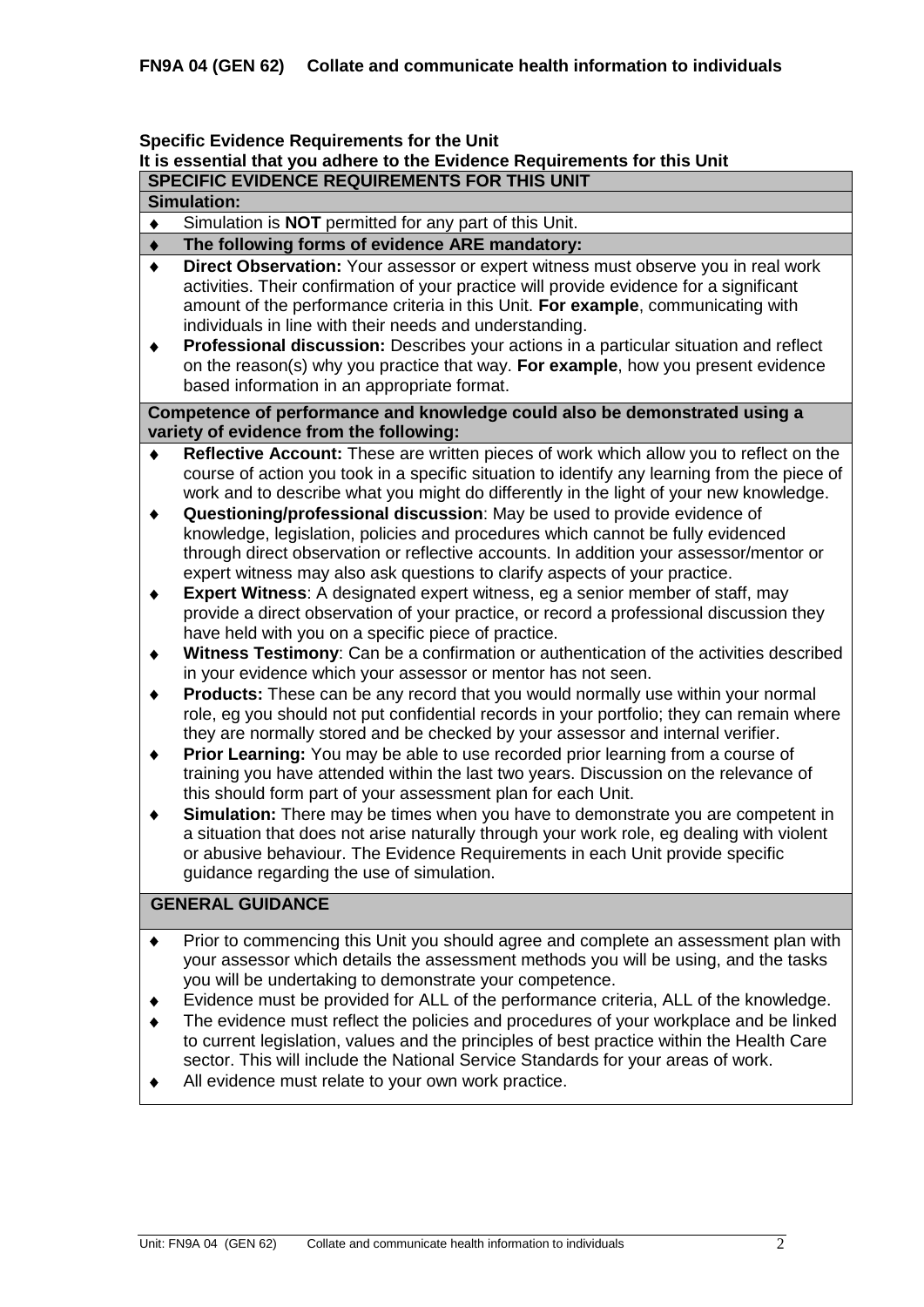### **Specific Evidence Requirements for the Unit**

# **It is essential that you adhere to the Evidence Requirements for this Unit**

# **SPECIFIC EVIDENCE REQUIREMENTS FOR THIS UNIT**

# **Simulation:**

Simulation is **NOT** permitted for any part of this Unit.  $\bullet$ 

#### **The following forms of evidence ARE mandatory:**  $\ddot{\bullet}$

- **Direct Observation:** Your assessor or expert witness must observe you in real work  $\bullet$ activities. Their confirmation of your practice will provide evidence for a significant amount of the performance criteria in this Unit. **For example**, communicating with individuals in line with their needs and understanding.
- $\ddot{\bullet}$ **Professional discussion:** Describes your actions in a particular situation and reflect on the reason(s) why you practice that way. **For example**, how you present evidence based information in an appropriate format.

### **Competence of performance and knowledge could also be demonstrated using a variety of evidence from the following:**

- **Reflective Account:** These are written pieces of work which allow you to reflect on the  $\bullet$ course of action you took in a specific situation to identify any learning from the piece of work and to describe what you might do differently in the light of your new knowledge.
- $\blacklozenge$ **Questioning/professional discussion**: May be used to provide evidence of knowledge, legislation, policies and procedures which cannot be fully evidenced through direct observation or reflective accounts. In addition your assessor/mentor or expert witness may also ask questions to clarify aspects of your practice.
- **Expert Witness**: A designated expert witness, eg a senior member of staff, may  $\blacklozenge$ provide a direct observation of your practice, or record a professional discussion they have held with you on a specific piece of practice.
- **Witness Testimony**: Can be a confirmation or authentication of the activities described  $\ddot{\bullet}$ in your evidence which your assessor or mentor has not seen.
- **Products:** These can be any record that you would normally use within your normal  $\ddot{\bullet}$ role, eg you should not put confidential records in your portfolio; they can remain where they are normally stored and be checked by your assessor and internal verifier.
- **Prior Learning:** You may be able to use recorded prior learning from a course of  $\blacklozenge$ training you have attended within the last two years. Discussion on the relevance of this should form part of your assessment plan for each Unit.
- $\blacklozenge$ **Simulation:** There may be times when you have to demonstrate you are competent in a situation that does not arise naturally through your work role, eg dealing with violent or abusive behaviour. The Evidence Requirements in each Unit provide specific guidance regarding the use of simulation.

# **GENERAL GUIDANCE**

- Prior to commencing this Unit you should agree and complete an assessment plan with your assessor which details the assessment methods you will be using, and the tasks you will be undertaking to demonstrate your competence.
- Evidence must be provided for ALL of the performance criteria, ALL of the knowledge.  $\bullet$
- The evidence must reflect the policies and procedures of your workplace and be linked to current legislation, values and the principles of best practice within the Health Care sector. This will include the National Service Standards for your areas of work.
- All evidence must relate to your own work practice.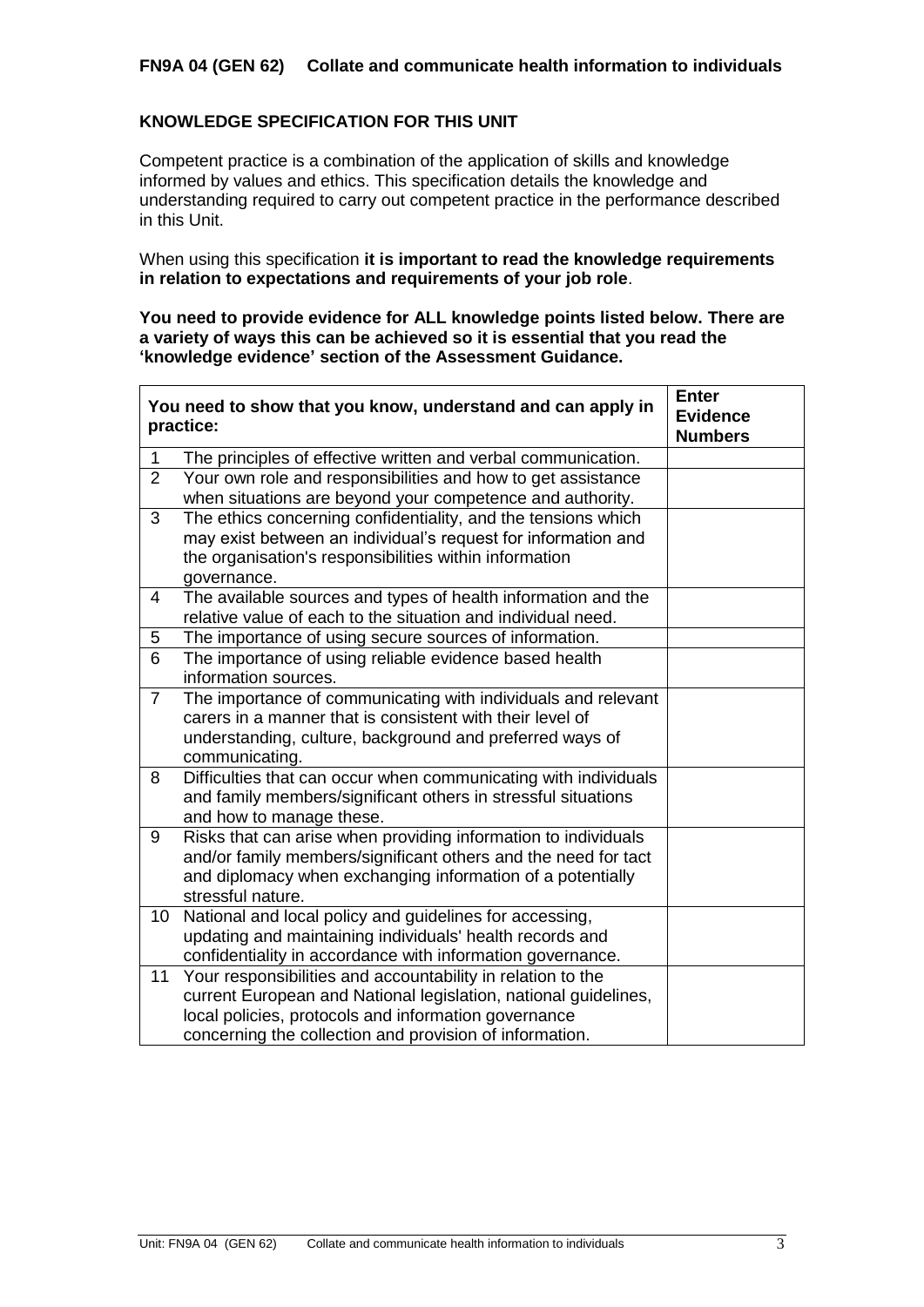# **FN9A 04 (GEN 62) Collate and communicate health information to individuals**

## **KNOWLEDGE SPECIFICATION FOR THIS UNIT**

Competent practice is a combination of the application of skills and knowledge informed by values and ethics. This specification details the knowledge and understanding required to carry out competent practice in the performance described in this Unit.

When using this specification **it is important to read the knowledge requirements in relation to expectations and requirements of your job role**.

**You need to provide evidence for ALL knowledge points listed below. There are a variety of ways this can be achieved so it is essential that you read the 'knowledge evidence' section of the Assessment Guidance.**

|                | You need to show that you know, understand and can apply in<br>practice:   | <b>Enter</b><br><b>Evidence</b><br><b>Numbers</b> |
|----------------|----------------------------------------------------------------------------|---------------------------------------------------|
| 1              | The principles of effective written and verbal communication.              |                                                   |
| $\overline{2}$ | Your own role and responsibilities and how to get assistance               |                                                   |
|                | when situations are beyond your competence and authority.                  |                                                   |
| 3              | The ethics concerning confidentiality, and the tensions which              |                                                   |
|                | may exist between an individual's request for information and              |                                                   |
|                | the organisation's responsibilities within information                     |                                                   |
|                | governance.                                                                |                                                   |
| $\overline{4}$ | The available sources and types of health information and the              |                                                   |
|                | relative value of each to the situation and individual need.               |                                                   |
| 5              | The importance of using secure sources of information.                     |                                                   |
| 6              | The importance of using reliable evidence based health                     |                                                   |
|                | information sources.                                                       |                                                   |
| $\overline{7}$ | The importance of communicating with individuals and relevant              |                                                   |
|                | carers in a manner that is consistent with their level of                  |                                                   |
|                | understanding, culture, background and preferred ways of<br>communicating. |                                                   |
| 8              | Difficulties that can occur when communicating with individuals            |                                                   |
|                | and family members/significant others in stressful situations              |                                                   |
|                | and how to manage these.                                                   |                                                   |
| 9              | Risks that can arise when providing information to individuals             |                                                   |
|                | and/or family members/significant others and the need for tact             |                                                   |
|                | and diplomacy when exchanging information of a potentially                 |                                                   |
|                | stressful nature.                                                          |                                                   |
| 10             | National and local policy and guidelines for accessing,                    |                                                   |
|                | updating and maintaining individuals' health records and                   |                                                   |
|                | confidentiality in accordance with information governance.                 |                                                   |
| 11             | Your responsibilities and accountability in relation to the                |                                                   |
|                | current European and National legislation, national guidelines,            |                                                   |
|                | local policies, protocols and information governance                       |                                                   |
|                | concerning the collection and provision of information.                    |                                                   |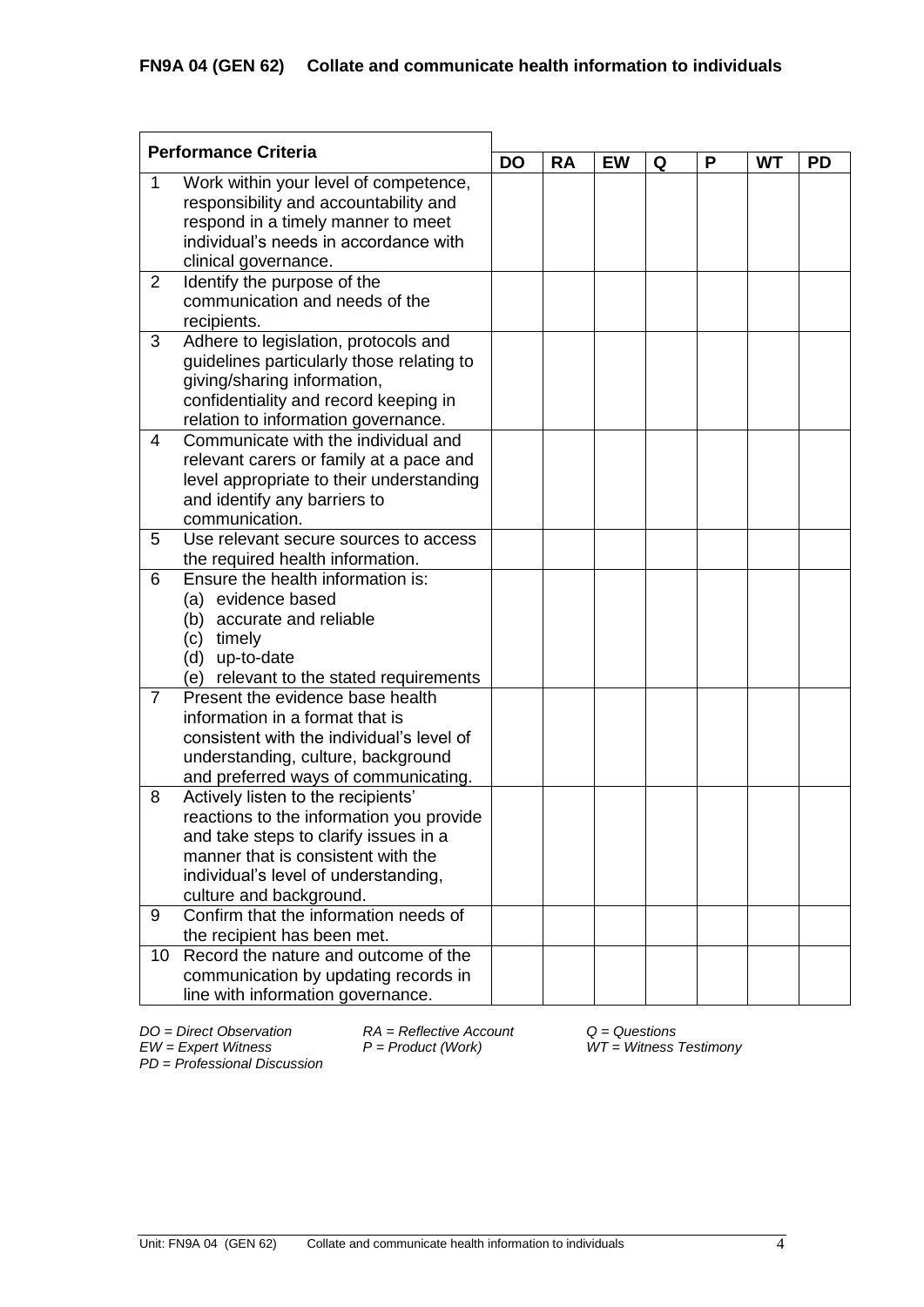| <b>Performance Criteria</b> |                                                |           |           |           |   |   |           |           |  |
|-----------------------------|------------------------------------------------|-----------|-----------|-----------|---|---|-----------|-----------|--|
|                             |                                                | <b>DO</b> | <b>RA</b> | <b>EW</b> | Q | P | <b>WT</b> | <b>PD</b> |  |
| 1                           | Work within your level of competence,          |           |           |           |   |   |           |           |  |
|                             | responsibility and accountability and          |           |           |           |   |   |           |           |  |
|                             | respond in a timely manner to meet             |           |           |           |   |   |           |           |  |
|                             | individual's needs in accordance with          |           |           |           |   |   |           |           |  |
|                             | clinical governance.                           |           |           |           |   |   |           |           |  |
| $\overline{2}$              | Identify the purpose of the                    |           |           |           |   |   |           |           |  |
|                             | communication and needs of the                 |           |           |           |   |   |           |           |  |
|                             | recipients.                                    |           |           |           |   |   |           |           |  |
| 3                           | Adhere to legislation, protocols and           |           |           |           |   |   |           |           |  |
|                             | guidelines particularly those relating to      |           |           |           |   |   |           |           |  |
|                             | giving/sharing information,                    |           |           |           |   |   |           |           |  |
|                             | confidentiality and record keeping in          |           |           |           |   |   |           |           |  |
|                             | relation to information governance.            |           |           |           |   |   |           |           |  |
| 4                           | Communicate with the individual and            |           |           |           |   |   |           |           |  |
|                             | relevant carers or family at a pace and        |           |           |           |   |   |           |           |  |
|                             | level appropriate to their understanding       |           |           |           |   |   |           |           |  |
|                             | and identify any barriers to<br>communication. |           |           |           |   |   |           |           |  |
| 5                           | Use relevant secure sources to access          |           |           |           |   |   |           |           |  |
|                             | the required health information.               |           |           |           |   |   |           |           |  |
| 6                           | Ensure the health information is:              |           |           |           |   |   |           |           |  |
|                             | evidence based<br>(a)                          |           |           |           |   |   |           |           |  |
|                             | accurate and reliable<br>(b)                   |           |           |           |   |   |           |           |  |
|                             | (c)<br>timely                                  |           |           |           |   |   |           |           |  |
|                             | (d) up-to-date                                 |           |           |           |   |   |           |           |  |
|                             | (e) relevant to the stated requirements        |           |           |           |   |   |           |           |  |
| $\overline{7}$              | Present the evidence base health               |           |           |           |   |   |           |           |  |
|                             | information in a format that is                |           |           |           |   |   |           |           |  |
|                             | consistent with the individual's level of      |           |           |           |   |   |           |           |  |
|                             | understanding, culture, background             |           |           |           |   |   |           |           |  |
|                             | and preferred ways of communicating.           |           |           |           |   |   |           |           |  |
| 8                           | Actively listen to the recipients'             |           |           |           |   |   |           |           |  |
|                             | reactions to the information you provide       |           |           |           |   |   |           |           |  |
|                             | and take steps to clarify issues in a          |           |           |           |   |   |           |           |  |
|                             | manner that is consistent with the             |           |           |           |   |   |           |           |  |
|                             | individual's level of understanding,           |           |           |           |   |   |           |           |  |
|                             | culture and background.                        |           |           |           |   |   |           |           |  |
| 9                           | Confirm that the information needs of          |           |           |           |   |   |           |           |  |
|                             | the recipient has been met.                    |           |           |           |   |   |           |           |  |
| 10                          | Record the nature and outcome of the           |           |           |           |   |   |           |           |  |
|                             | communication by updating records in           |           |           |           |   |   |           |           |  |
|                             | line with information governance.              |           |           |           |   |   |           |           |  |

*DO = Direct Observation RA = Reflective Account Q = Questions EW = Expert Witness P = Product (Work) WT = Witness Testimony PD* = *Professional Discussion*